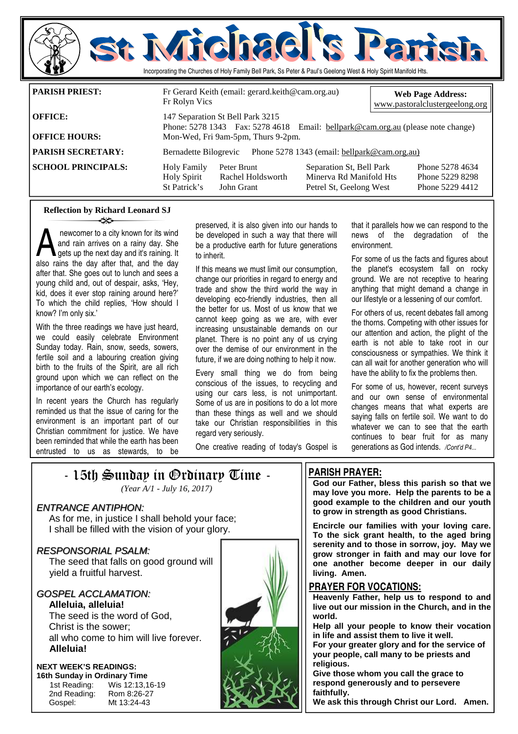

### **Reflection by Richard Leonard SJ**  ન≭≻

A newcomer to a city known for its wind<br>and rain arrives on a rainy day. She<br>gets up the next day and it's raining. It<br>also rains the day after that, and the day and rain arrives on a rainy day. She **gets up the next day and it's raining. It** also rains the day after that, and the day after that. She goes out to lunch and sees a young child and, out of despair, asks, 'Hey, kid, does it ever stop raining around here?' To which the child replies, 'How should I know? I'm only six.'

With the three readings we have just heard, we could easily celebrate Environment Sunday today. Rain, snow, seeds, sowers, fertile soil and a labouring creation giving birth to the fruits of the Spirit, are all rich ground upon which we can reflect on the importance of our earth's ecology.

In recent years the Church has regularly reminded us that the issue of caring for the environment is an important part of our Christian commitment for justice. We have been reminded that while the earth has been entrusted to us as stewards, to be preserved, it is also given into our hands to be developed in such a way that there will be a productive earth for future generations to inherit.

If this means we must limit our consumption, change our priorities in regard to energy and trade and show the third world the way in developing eco-friendly industries, then all the better for us. Most of us know that we cannot keep going as we are, with ever increasing unsustainable demands on our planet. There is no point any of us crying over the demise of our environment in the future, if we are doing nothing to help it now.

Every small thing we do from being conscious of the issues, to recycling and using our cars less, is not unimportant. Some of us are in positions to do a lot more than these things as well and we should take our Christian responsibilities in this regard very seriously.

that it parallels how we can respond to the news of the degradation of the environment.

For some of us the facts and figures about the planet's ecosystem fall on rocky ground. We are not receptive to hearing anything that might demand a change in our lifestyle or a lessening of our comfort.

For others of us, recent debates fall among the thorns. Competing with other issues for our attention and action, the plight of the earth is not able to take root in our consciousness or sympathies. We think it can all wait for another generation who will have the ability to fix the problems then.

For some of us, however, recent surveys and our own sense of environmental changes means that what experts are saying falls on fertile soil. We want to do whatever we can to see that the earth continues to bear fruit for as many generations as God intends. */Cont'd P4...* 

One creative reading of today's Gospel is

## - 15th Sunday in Ordinary Time -

### ENTRANCE ANTIPHON:

 As for me, in justice I shall behold your face; I shall be filled with the vision of your glory.

### RESPONSORIAL PSALM:

The seed that falls on good ground will yield a fruitful harvest.

### GOSPEL ACCLAMATION: **Alleluia, alleluia!**

The seed is the word of God, Christ is the sower; all who come to him will live forever. **Alleluia!** 

### **NEXT WEEK'S READINGS: 16th Sunday in Ordinary Time**

 2nd Reading: Rom 8:26-27 Gospel: Mt 13:24-43

1st Reading: Wis 12:13,16-19



## **PARISH PRAYER:**

**God our Father, bless this parish so that we may love you more. Help the parents to be a good example to the children and our youth to grow in strength as good Christians.** 

**Encircle our families with your loving care. To the sick grant health, to the aged bring serenity and to those in sorrow, joy. May we grow stronger in faith and may our love for one another become deeper in our daily living. Amen.** 

### **PRAYER FOR VOCATIONS:**

**Heavenly Father, help us to respond to and live out our mission in the Church, and in the world.** 

**Help all your people to know their vocation in life and assist them to live it well.** 

**For your greater glory and for the service of your people, call many to be priests and religious.** 

**Give those whom you call the grace to respond generously and to persevere faithfully.** 

**We ask this through Christ our Lord. Amen.** 

*<sup>(</sup>Year A/1 - July 16, 2017)*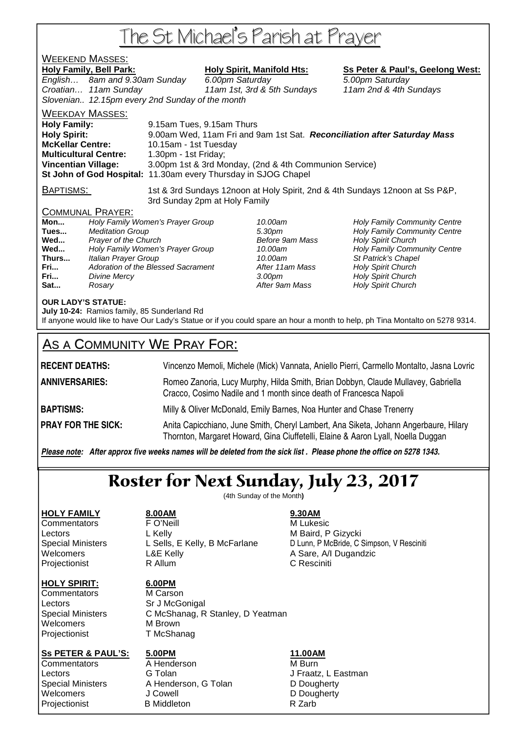# The St Michael's Parish at Prayer

## WEEKEND MASSES:

Holy Family, Bell Park: Holy Spirit, Manifold Hts: Ss Peter & Paul's, Geelong West: English… 8am and 9.30am Sunday 6.00pm Saturday 5.00pm Saturday Croatian… 11am Sunday 11am 1st, 3rd & 5th Sundays 11am 2nd & 4th Sundays Slovenian.. 12.15pm every 2nd Sunday of the month WEEKDAY MASSES:

**Holy Family:** 9.15am Tues, 9.15am Thurs **Holy Spirit:** 9.00am Wed, 11am Fri and 9am 1st Sat. **Reconciliation after Saturday Mass McKellar Centre:** 10.15am - 1st Tuesday **Multicultural Centre:** 1.30pm - 1st Friday; **Vincentian Village:** 3.00pm 1st & 3rd Monday, (2nd & 4th Communion Service) **St John of God Hospital:** 11.30am every Thursday in SJOG Chapel

BAPTISMS: 1st & 3rd Sundays 12noon at Holy Spirit, 2nd & 4th Sundays 12noon at Ss P&P, 3rd Sunday 2pm at Holy Family

## COMMUNAL PRAYER:

| Holy Family Women's Prayer Group   |
|------------------------------------|
| <b>Meditation Group</b>            |
| Prayer of the Church               |
| Holy Family Women's Prayer Group   |
| Italian Prayer Group               |
| Adoration of the Blessed Sacrament |
| Divine Mercy                       |
| Rosary                             |
|                                    |

10.00am **Holy Family Community Centre Tues 3.30pm Holy Family Community Centre Before 9am Mass Holy Spirit Church Before 9am Mass Holy Spirit Church** 10.00am **Holy Family Community Centre** 10.00am St Patrick's Chapel **After 11am Mass Holy Spirit Church Franch 3.00pm** Holy Spirit Church After 9am Mass **Holy Spirit Church** 

## **OUR LADY'S STATUE:**

**July 10-24:** Ramios family, 85 Sunderland Rd

If anyone would like to have Our Lady's Statue or if you could spare an hour a month to help, ph Tina Montalto on 5278 9314.

## AS A COMMUNITY WE PRAY FOR:

**RECENT DEATHS:** Vincenzo Memoli, Michele (Mick) Vannata, Aniello Pierri, Carmello Montalto, Jasna Lovric **ANNIVERSARIES:** Romeo Zanoria, Lucy Murphy, Hilda Smith, Brian Dobbyn, Claude Mullavey, Gabriella Cracco, Cosimo Nadile and 1 month since death of Francesca Napoli **BAPTISMS:** Milly & Oliver McDonald, Emily Barnes, Noa Hunter and Chase Trenerry **PRAY FOR THE SICK:** Anita Capicchiano, June Smith, Cheryl Lambert, Ana Siketa, Johann Angerbaure, Hilary Thornton, Margaret Howard, Gina Ciuffetelli, Elaine & Aaron Lyall, Noella Duggan

*Please note: After approx five weeks names will be deleted from the sick list . Please phone the office on 5278 1343.*

# Roster for Next Sunday, July 23, 2017

(4th Sunday of the Month**)** 

Projectionist **R** Allum **C Resciniti** 

## **HOLY SPIRIT: 6.00PM**

Commentators M Carson Lectors Sr J McGonigal Welcomers M Brown Projectionist T McShanag

**HOLY FAMILY 8.00AM 9.30AM** Commentators **FO'Neill FO'Neill** M Lukesic Lectors **L** Kelly **M** Baird, P Gizycki

Special Ministers L Sells, E Kelly, B McFarlane D Lunn, P McBride, C Simpson, V Resciniti Welcomers **L&E Kelly** A Sare, A/I Dugandzic

Special Ministers C McShanag, R Stanley, D Yeatman

## **Ss PETER & PAUL'S: 5.00PM 11.00AM**

Commentators **A** Henderson **M** Burn

Lectors **G Tolan G Tolan** J Fraatz, L Eastman Special Ministers A Henderson, G Tolan D Dougherty Welcomers J Cowell **D** Dougherty Projectionist B Middleton B Middleton R Zarb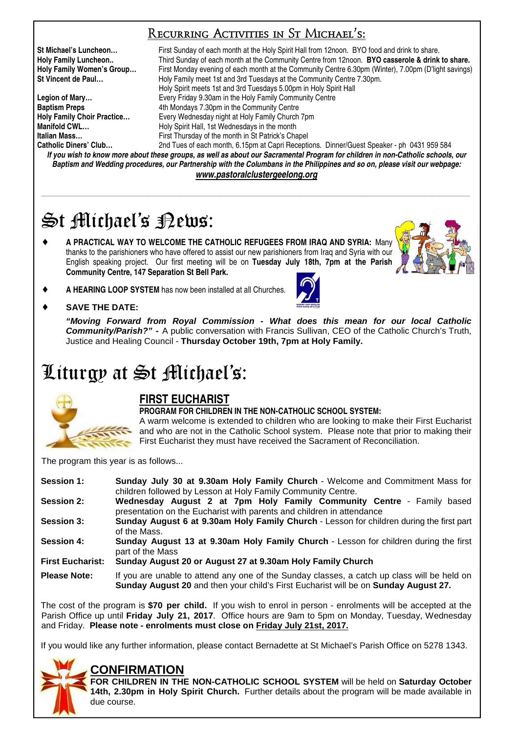## Recurring Activities in St Michael's:

**St Michael's Luncheon…** First Sunday of each month at the Holy Spirit Hall from 12noon. BYO food and drink to share. **Holy Family Luncheon..** Third Sunday of each month at the Community Centre from 12noon. **BYO casserole & drink to share. Holy Family Women's Group…** First Monday evening of each month at the Community Centre 6.30pm (Winter), 7.00pm (D'light savings) **St Vincent de Paul…** Holy Family meet 1st and 3rd Tuesdays at the Community Centre 7.30pm. Holy Spirit meets 1st and 3rd Tuesdays 5.00pm in Holy Spirit Hall **Legion of Mary…** Every Friday 9.30am in the Holy Family Community Centre **Baptism Preps** <br> **Holy Family Choir Practice... Ath Mondays 7.30pm in the Community Centre Holy Family Church Holy Family Choir Practice…** Every Wednesday night at Holy Family Church 7pm **Manifold CWL... Holy Spirit Hall, 1st Wednesdays in the month Italian Mass…** First Thursday of the month in St Patrick's Chapel 2nd Tues of each month, 6.15pm at Capri Receptions. Dinner/Guest Speaker - ph 0431 959 584

*If you wish to know more about these groups, as well as about our Sacramental Program for children in non-Catholic schools, our Baptism and Wedding procedures, our Partnership with the Columbans in the Philippines and so on, please visit our webpage: www.pastoralclustergeelong.org*

\_\_\_\_\_\_\_\_\_\_\_\_\_\_\_\_\_\_\_\_\_\_\_\_\_\_\_\_\_\_\_\_\_\_\_\_\_\_\_\_\_\_\_\_\_\_\_\_\_\_\_\_\_\_\_\_\_\_\_\_\_\_\_\_\_\_\_\_\_\_\_\_\_\_\_\_\_\_\_\_\_\_\_\_\_\_\_\_\_\_\_\_\_\_\_\_\_\_\_\_\_\_\_\_\_\_\_\_\_\_\_\_\_\_\_\_\_\_\_\_\_\_\_\_\_\_\_\_\_\_\_\_\_\_\_\_\_\_\_\_\_\_\_\_\_\_\_\_\_\_\_\_\_\_\_\_\_\_\_\_\_\_\_\_\_\_\_\_\_\_\_\_\_\_\_\_\_\_\_\_\_\_\_\_\_\_\_\_\_\_\_\_\_\_\_\_\_

# St Michael's Rews:

♦ **A PRACTICAL WAY TO WELCOME THE CATHOLIC REFUGEES FROM IRAQ AND SYRIA:** Many thanks to the parishioners who have offered to assist our new parishioners from Iraq and Syria with our English speaking project. Our first meeting will be on **Tuesday July 18th, 7pm at the Parish Community Centre, 147 Separation St Bell Park.**



A HEARING LOOP SYSTEM has now been installed at all Churches.



SAVE THE DATE:

**"Moving Forward from Royal Commission - What does this mean for our local Catholic Community/Parish?" -** A public conversation with Francis Sullivan, CEO of the Catholic Church's Truth, Justice and Healing Council - **Thursday October 19th, 7pm at Holy Family.** 

# Liturgy at St Michael's:



## **FIRST EUCHARIST**

**PROGRAM FOR CHILDREN IN THE NON-CATHOLIC SCHOOL SYSTEM:** 

A warm welcome is extended to children who are looking to make their First Eucharist and who are not in the Catholic School system. Please note that prior to making their First Eucharist they must have received the Sacrament of Reconciliation.

The program this year is as follows...

| <b>Session 1:</b>       | Sunday July 30 at 9.30am Holy Family Church - Welcome and Commitment Mass for<br>children followed by Lesson at Holy Family Community Centre.                                      |  |  |
|-------------------------|------------------------------------------------------------------------------------------------------------------------------------------------------------------------------------|--|--|
| <b>Session 2:</b>       | Wednesday August 2 at 7pm Holy Family Community Centre - Family based<br>presentation on the Eucharist with parents and children in attendance                                     |  |  |
| <b>Session 3:</b>       | Sunday August 6 at 9.30am Holy Family Church - Lesson for children during the first part<br>of the Mass.                                                                           |  |  |
| <b>Session 4:</b>       | Sunday August 13 at 9.30am Holy Family Church - Lesson for children during the first<br>part of the Mass                                                                           |  |  |
| <b>First Eucharist:</b> | Sunday August 20 or August 27 at 9.30am Holy Family Church                                                                                                                         |  |  |
| <b>Please Note:</b>     | If you are unable to attend any one of the Sunday classes, a catch up class will be held on<br>Sunday August 20 and then your child's First Eucharist will be on Sunday August 27. |  |  |

The cost of the program is **\$70 per child.** If you wish to enrol in person - enrolments will be accepted at the Parish Office up until **Friday July 21, 2017**. Office hours are 9am to 5pm on Monday, Tuesday, Wednesday and Friday. **Please note - enrolments must close on Friday July 21st, 2017.**

If you would like any further information, please contact Bernadette at St Michael's Parish Office on 5278 1343.

## **CONFIRMATION**



## **FOR CHILDREN IN THE NON-CATHOLIC SCHOOL SYSTEM** will be held on **Saturday October 14th, 2.30pm in Holy Spirit Church.** Further details about the program will be made available in due course.